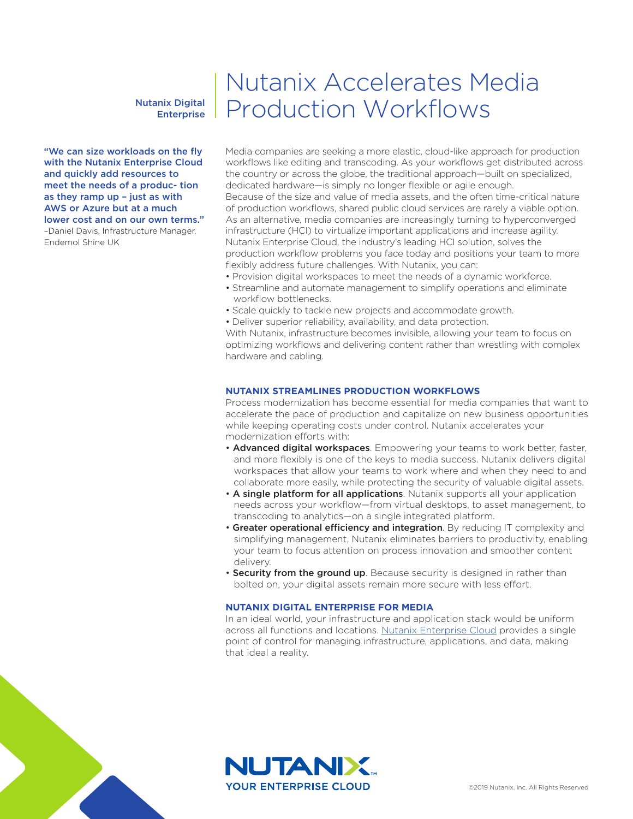# Nutanix Digital **Enterprise**

"We can size workloads on the fly with the Nutanix Enterprise Cloud and quickly add resources to meet the needs of a produc- tion as they ramp up – just as with AWS or Azure but at a much lower cost and on our own terms." –Daniel Davis, Infrastructure Manager,

Endemol Shine UK

# Nutanix Accelerates Media Production Workflows

Media companies are seeking a more elastic, cloud-like approach for production workflows like editing and transcoding. As your workflows get distributed across the country or across the globe, the traditional approach—built on specialized, dedicated hardware—is simply no longer flexible or agile enough. Because of the size and value of media assets, and the often time-critical nature of production workflows, shared public cloud services are rarely a viable option. As an alternative, media companies are increasingly turning to hyperconverged infrastructure (HCI) to virtualize important applications and increase agility. Nutanix Enterprise Cloud, the industry's leading HCI solution, solves the production workflow problems you face today and positions your team to more flexibly address future challenges. With Nutanix, you can:

- Provision digital workspaces to meet the needs of a dynamic workforce.
- Streamline and automate management to simplify operations and eliminate workflow bottlenecks.
- Scale quickly to tackle new projects and accommodate growth.
- Deliver superior reliability, availability, and data protection.

With Nutanix, infrastructure becomes invisible, allowing your team to focus on optimizing workflows and delivering content rather than wrestling with complex hardware and cabling.

#### **NUTANIX STREAMLINES PRODUCTION WORKFLOWS**

Process modernization has become essential for media companies that want to accelerate the pace of production and capitalize on new business opportunities while keeping operating costs under control. Nutanix accelerates your modernization efforts with:

- Advanced digital workspaces. Empowering your teams to work better, faster, and more flexibly is one of the keys to media success. Nutanix delivers digital workspaces that allow your teams to work where and when they need to and collaborate more easily, while protecting the security of valuable digital assets.
- A single platform for all applications. Nutanix supports all your application needs across your workflow—from virtual desktops, to asset management, to transcoding to analytics—on a single integrated platform.
- Greater operational efficiency and integration. By reducing IT complexity and simplifying management, Nutanix eliminates barriers to productivity, enabling your team to focus attention on process innovation and smoother content delivery.
- Security from the ground up. Because security is designed in rather than bolted on, your digital assets remain more secure with less effort.

#### **NUTANIX DIGITAL ENTERPRISE FOR MEDIA**

In an ideal world, your infrastructure and application stack would be uniform across all functions and locations. Nutanix Enterprise Cloud provides a single point of control for managing infrastructure, applications, and data, making that ideal a reality.



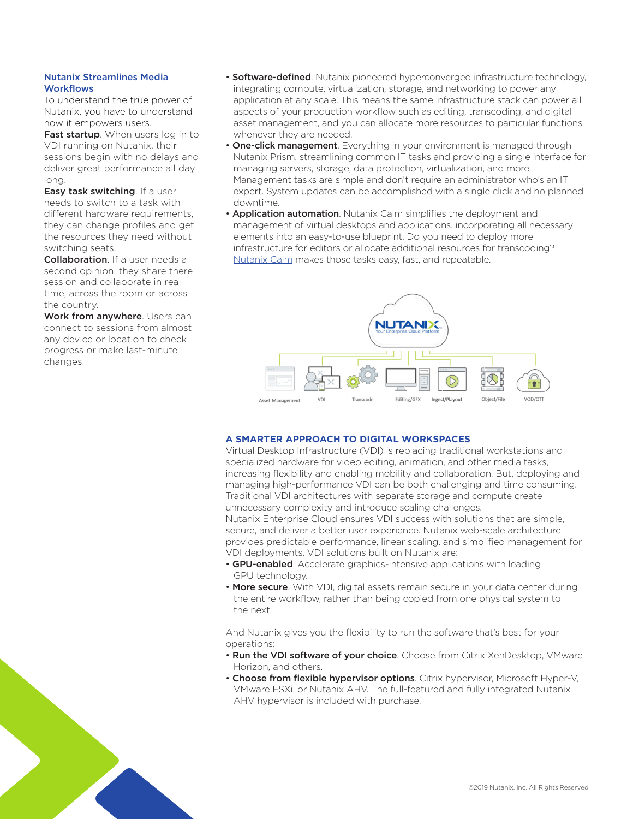# Nutanix Streamlines Media **Workflows**

To understand the true power of Nutanix, you have to understand how it empowers users.

Fast startup. When users log in to VDI running on Nutanix, their sessions begin with no delays and deliver great performance all day long.

Easy task switching. If a user needs to switch to a task with different hardware requirements. they can change profiles and get the resources they need without switching seats.

**Collaboration**. If a user needs a second opinion, they share there session and collaborate in real time, across the room or across the country.

Work from anywhere. Users can connect to sessions from almost any device or location to check progress or make last-minute changes.

- Software-defined. Nutanix pioneered hyperconverged infrastructure technology, integrating compute, virtualization, storage, and networking to power any application at any scale. This means the same infrastructure stack can power all aspects of your production workflow such as editing, transcoding, and digital asset management, and you can allocate more resources to particular functions whenever they are needed.
- One-click management. Everything in your environment is managed through Nutanix Prism, streamlining common IT tasks and providing a single interface for managing servers, storage, data protection, virtualization, and more. Management tasks are simple and don't require an administrator who's an IT expert. System updates can be accomplished with a single click and no planned downtime.
- Application automation. Nutanix Calm simplifies the deployment and management of virtual desktops and applications, incorporating all necessary elements into an easy-to-use blueprint. Do you need to deploy more infrastructure for editors or allocate additional resources for transcoding? Nutanix Calm makes those tasks easy, fast, and repeatable.



# **A SMARTER APPROACH TO DIGITAL WORKSPACES**

Virtual Desktop Infrastructure (VDI) is replacing traditional workstations and specialized hardware for video editing, animation, and other media tasks, increasing flexibility and enabling mobility and collaboration. But, deploying and managing high-performance VDI can be both challenging and time consuming. Traditional VDI architectures with separate storage and compute create unnecessary complexity and introduce scaling challenges.

Nutanix Enterprise Cloud ensures VDI success with solutions that are simple, secure, and deliver a better user experience. Nutanix web-scale architecture provides predictable performance, linear scaling, and simplified management for VDI deployments. VDI solutions built on Nutanix are:

- GPU-enabled. Accelerate graphics-intensive applications with leading GPU technology.
- More secure. With VDI, digital assets remain secure in your data center during the entire workflow, rather than being copied from one physical system to the next.

And Nutanix gives you the flexibility to run the software that's best for your operations:

- Run the VDI software of your choice. Choose from Citrix XenDesktop, VMware Horizon, and others.
- Choose from flexible hypervisor options. Citrix hypervisor, Microsoft Hyper-V, VMware ESXi, or Nutanix AHV. The full-featured and fully integrated Nutanix AHV hypervisor is included with purchase.